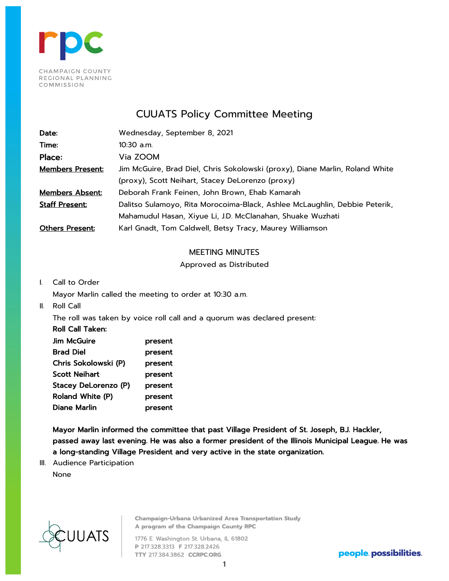

# CUUATS Policy Committee Meeting

| Date:                   | Wednesday, September 8, 2021                                                 |
|-------------------------|------------------------------------------------------------------------------|
| Time:                   | 10:30 a.m.                                                                   |
| Place:                  | Via ZOOM                                                                     |
| <b>Members Present:</b> | Jim McGuire, Brad Diel, Chris Sokolowski (proxy), Diane Marlin, Roland White |
|                         | (proxy), Scott Neihart, Stacey DeLorenzo (proxy)                             |
| <u>Members Absent:</u>  | Deborah Frank Feinen, John Brown, Ehab Kamarah                               |
| <b>Staff Present:</b>   | Dalitso Sulamoyo, Rita Morocoima-Black, Ashlee McLaughlin, Debbie Peterik,   |
|                         | Mahamudul Hasan, Xiyue Li, J.D. McClanahan, Shuake Wuzhati                   |
| <b>Others Present:</b>  | Karl Gnadt, Tom Caldwell, Betsy Tracy, Maurey Williamson                     |

# MEETING MINUTES

# Approved as Distributed

I. Call to Order

Mayor Marlin called the meeting to order at 10:30 a.m.

II. Roll Call

The roll was taken by voice roll call and a quorum was declared present:

| Roll Call Taken:     |         |
|----------------------|---------|
| <b>Jim McGuire</b>   | present |
| <b>Brad Diel</b>     | present |
| Chris Sokolowski (P) | present |
| <b>Scott Neihart</b> | present |
| Stacey DeLorenzo (P) | present |
| Roland White (P)     | present |
| Diane Marlin         | present |
|                      |         |

Mayor Marlin informed the committee that past Village President of St. Joseph, B.J. Hackler, passed away last evening. He was also a former president of the Illinois Municipal League. He was a long-standing Village President and very active in the state organization.

III. Audience Participation None



**Champaign-Urbana Urbanized Area Transportation Study** A program of the Champaign County RPC

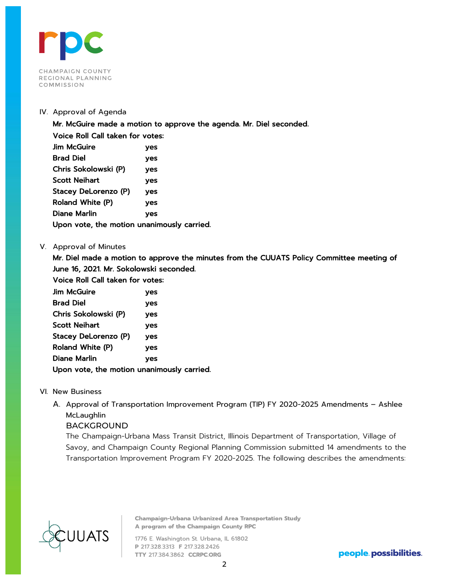

# IV. Approval of Agenda

Mr. McGuire made a motion to approve the agenda. Mr. Diel seconded.

Voice Roll Call taken for votes: Jim McGuire yes Brad Diel yes Chris Sokolowski (P) yes Scott Neihart yes Stacey DeLorenzo (P) yes Roland White (P) yes Diane Marlin yes Upon vote, the motion unanimously carried.

# V. Approval of Minutes

Mr. Diel made a motion to approve the minutes from the CUUATS Policy Committee meeting of June 16, 2021. Mr. Sokolowski seconded.

Voice Roll Call taken for votes:

| <b>Jim McGuire</b>                         | ves        |  |  |
|--------------------------------------------|------------|--|--|
| <b>Brad Diel</b>                           | yes        |  |  |
| Chris Sokolowski (P)                       | yes        |  |  |
| <b>Scott Neihart</b>                       | <b>ves</b> |  |  |
| Stacey DeLorenzo (P)                       | yes        |  |  |
| Roland White (P)                           | yes        |  |  |
| Diane Marlin                               | <b>yes</b> |  |  |
| Upon vote, the motion unanimously carried. |            |  |  |

- VI. New Business
	- A. Approval of Transportation Improvement Program (TIP) FY 2020-2025 Amendments Ashlee McLaughlin

# BACKGROUND

The Champaign-Urbana Mass Transit District, Illinois Department of Transportation, Village of Savoy, and Champaign County Regional Planning Commission submitted 14 amendments to the Transportation Improvement Program FY 2020-2025. The following describes the amendments:



**Champaign-Urbana Urbanized Area Transportation Study** A program of the Champaign County RPC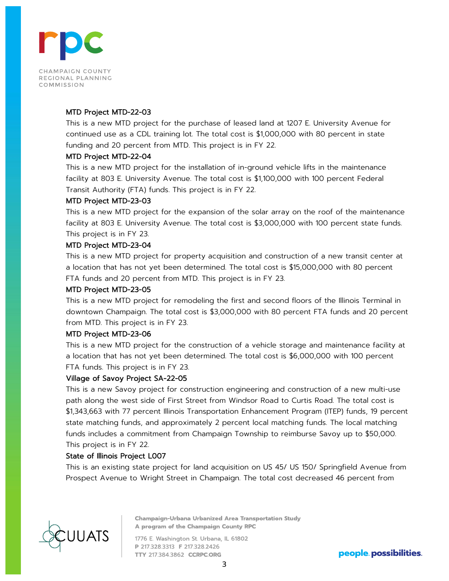

# MTD Project MTD-22-03

This is a new MTD project for the purchase of leased land at 1207 E. University Avenue for continued use as a CDL training lot. The total cost is \$1,000,000 with 80 percent in state funding and 20 percent from MTD. This project is in FY 22.

# MTD Project MTD-22-04

This is a new MTD project for the installation of in-ground vehicle lifts in the maintenance facility at 803 E. University Avenue. The total cost is \$1,100,000 with 100 percent Federal Transit Authority (FTA) funds. This project is in FY 22.

#### MTD Project MTD-23-03

This is a new MTD project for the expansion of the solar array on the roof of the maintenance facility at 803 E. University Avenue. The total cost is \$3,000,000 with 100 percent state funds. This project is in FY 23.

#### MTD Project MTD-23-04

This is a new MTD project for property acquisition and construction of a new transit center at a location that has not yet been determined. The total cost is \$15,000,000 with 80 percent FTA funds and 20 percent from MTD. This project is in FY 23.

# MTD Project MTD-23-05

This is a new MTD project for remodeling the first and second floors of the Illinois Terminal in downtown Champaign. The total cost is \$3,000,000 with 80 percent FTA funds and 20 percent from MTD. This project is in FY 23.

#### MTD Project MTD-23-06

This is a new MTD project for the construction of a vehicle storage and maintenance facility at a location that has not yet been determined. The total cost is \$6,000,000 with 100 percent FTA funds. This project is in FY 23.

# Village of Savoy Project SA-22-05

This is a new Savoy project for construction engineering and construction of a new multi-use path along the west side of First Street from Windsor Road to Curtis Road. The total cost is \$1,343,663 with 77 percent Illinois Transportation Enhancement Program (ITEP) funds, 19 percent state matching funds, and approximately 2 percent local matching funds. The local matching funds includes a commitment from Champaign Township to reimburse Savoy up to \$50,000. This project is in FY 22.

#### State of Illinois Project L007

This is an existing state project for land acquisition on US 45/ US 150/ Springfield Avenue from Prospect Avenue to Wright Street in Champaign. The total cost decreased 46 percent from



**Champaign-Urbana Urbanized Area Transportation Study** A program of the Champaign County RPC

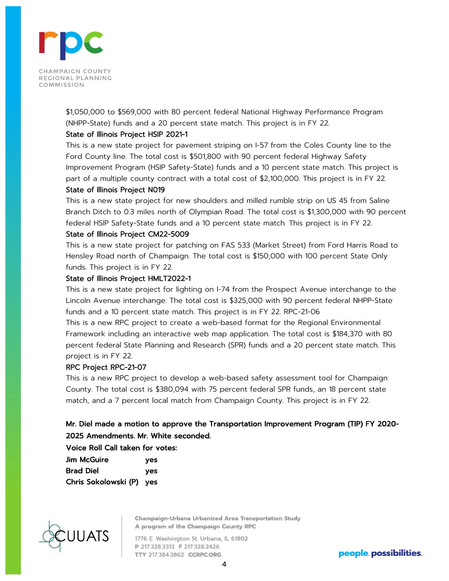

\$1,050,000 to \$569,000 with 80 percent federal National Highway Performance Program (NHPP-State) funds and a 20 percent state match. This project is in FY 22.

# State of Illinois Project HSIP 2021-1

This is a new state project for pavement striping on I-57 from the Coles County line to the Ford County line. The total cost is \$501,800 with 90 percent federal Highway Safety Improvement Program (HSIP Safety-State) funds and a 10 percent state match. This project is part of a multiple county contract with a total cost of \$2,100,000. This project is in FY 22.

# State of Illinois Project N019

This is a new state project for new shoulders and milled rumble strip on US 45 from Saline Branch Ditch to 0.3 miles north of Olympian Road. The total cost is \$1,300,000 with 90 percent federal HSIP Safety-State funds and a 10 percent state match. This project is in FY 22.

# State of Illinois Project CM22-5009

This is a new state project for patching on FAS 533 (Market Street) from Ford Harris Road to Hensley Road north of Champaign. The total cost is \$150,000 with 100 percent State Only funds. This project is in FY 22.

# State of Illinois Project HMLT2022-1

This is a new state project for lighting on I-74 from the Prospect Avenue interchange to the Lincoln Avenue interchange. The total cost is \$325,000 with 90 percent federal NHPP-State funds and a 10 percent state match. This project is in FY 22. RPC-21-06

This is a new RPC project to create a web-based format for the Regional Environmental Framework including an interactive web map application. The total cost is \$184,370 with 80 percent federal State Planning and Research (SPR) funds and a 20 percent state match. This project is in FY 22.

# RPC Project RPC-21-07

This is a new RPC project to develop a web-based safety assessment tool for Champaign County. The total cost is \$380,094 with 75 percent federal SPR funds, an 18 percent state match, and a 7 percent local match from Champaign County. This project is in FY 22.

# Mr. Diel made a motion to approve the Transportation Improvement Program (TIP) FY 2020- 2025 Amendments. Mr. White seconded.

Voice Roll Call taken for votes:

| Jim McGuire              | ves |
|--------------------------|-----|
| Brad Diel                | ves |
| Chris Sokolowski (P) yes |     |



**Champaign-Urbana Urbanized Area Transportation Study** A program of the Champaign County RPC

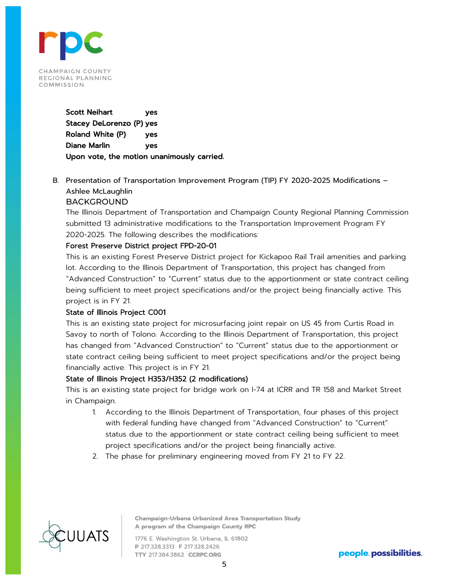

Scott Neihart yes Stacey DeLorenzo (P) yes Roland White (P) yes Diane Marlin yes Upon vote, the motion unanimously carried.

B. Presentation of Transportation Improvement Program (TIP) FY 2020-2025 Modifications – Ashlee McLaughlin **BACKGROUND** 

The Illinois Department of Transportation and Champaign County Regional Planning Commission submitted 13 administrative modifications to the Transportation Improvement Program FY 2020-2025. The following describes the modifications:

# Forest Preserve District project FPD-20-01

This is an existing Forest Preserve District project for Kickapoo Rail Trail amenities and parking lot. According to the Illinois Department of Transportation, this project has changed from "Advanced Construction" to "Current" status due to the apportionment or state contract ceiling being sufficient to meet project specifications and/or the project being financially active. This project is in FY 21.

# State of Illinois Project C001

This is an existing state project for microsurfacing joint repair on US 45 from Curtis Road in Savoy to north of Tolono. According to the Illinois Department of Transportation, this project has changed from "Advanced Construction" to "Current" status due to the apportionment or state contract ceiling being sufficient to meet project specifications and/or the project being financially active. This project is in FY 21.

# State of Illinois Project H353/H352 (2 modifications)

This is an existing state project for bridge work on I-74 at ICRR and TR 158 and Market Street in Champaign.

- 1. According to the Illinois Department of Transportation, four phases of this project with federal funding have changed from "Advanced Construction" to "Current" status due to the apportionment or state contract ceiling being sufficient to meet project specifications and/or the project being financially active.
- 2. The phase for preliminary engineering moved from FY 21 to FY 22.



**Champaign-Urbana Urbanized Area Transportation Study** A program of the Champaign County RPC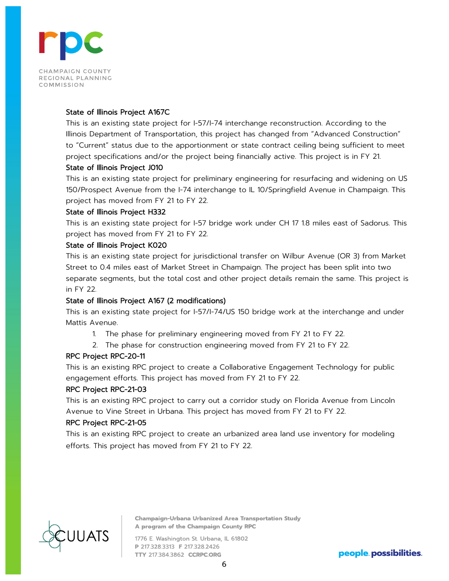

#### State of Illinois Project A167C

This is an existing state project for I-57/I-74 interchange reconstruction. According to the Illinois Department of Transportation, this project has changed from "Advanced Construction" to "Current" status due to the apportionment or state contract ceiling being sufficient to meet project specifications and/or the project being financially active. This project is in FY 21.

# State of Illinois Project J010

This is an existing state project for preliminary engineering for resurfacing and widening on US 150/Prospect Avenue from the I-74 interchange to IL 10/Springfield Avenue in Champaign. This project has moved from FY 21 to FY 22.

# State of Illinois Project H332

This is an existing state project for I-57 bridge work under CH 17 1.8 miles east of Sadorus. This project has moved from FY 21 to FY 22.

#### State of Illinois Project K020

This is an existing state project for jurisdictional transfer on Wilbur Avenue (OR 3) from Market Street to 0.4 miles east of Market Street in Champaign. The project has been split into two separate segments, but the total cost and other project details remain the same. This project is in FY 22.

# State of Illinois Project A167 (2 modifications)

This is an existing state project for I-57/I-74/US 150 bridge work at the interchange and under Mattis Avenue.

- 1. The phase for preliminary engineering moved from FY 21 to FY 22.
- 2. The phase for construction engineering moved from FY 21 to FY 22.

# RPC Project RPC-20-11

This is an existing RPC project to create a Collaborative Engagement Technology for public engagement efforts. This project has moved from FY 21 to FY 22.

# RPC Project RPC-21-03

This is an existing RPC project to carry out a corridor study on Florida Avenue from Lincoln Avenue to Vine Street in Urbana. This project has moved from FY 21 to FY 22.

# RPC Project RPC-21-05

This is an existing RPC project to create an urbanized area land use inventory for modeling efforts. This project has moved from FY 21 to FY 22.



**Champaign-Urbana Urbanized Area Transportation Study** A program of the Champaign County RPC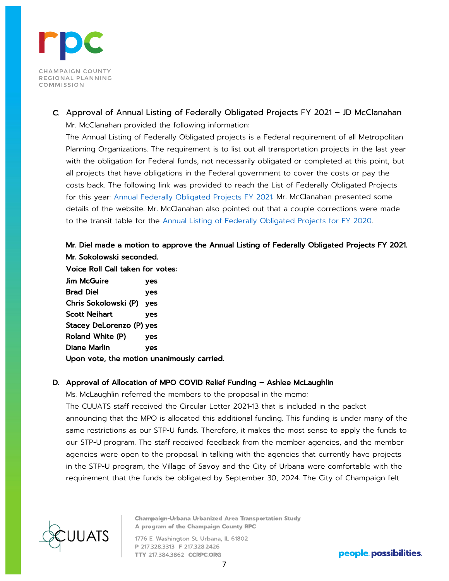

C. Approval of Annual Listing of Federally Obligated Projects FY 2021 – JD McClanahan Mr. McClanahan provided the following information:

The Annual Listing of Federally Obligated projects is a Federal requirement of all Metropolitan Planning Organizations. The requirement is to list out all transportation projects in the last year with the obligation for Federal funds, not necessarily obligated or completed at this point, but all projects that have obligations in the Federal government to cover the costs or pay the costs back. The following link was provided to reach the List of Federally Obligated Projects for this year: [Annual Federally Obligated Projects FY 2021.](https://ccrpc.org/documents/federally-obligated-projects/fy-2021-fop/) Mr. McClanahan presented some details of the website. Mr. McClanahan also pointed out that a couple corrections were made to the transit table for the [Annual Listing of Federally Obligated Projects for FY 2020.](https://ccrpc.org/documents/federally-obligated-projects/fy-2020-fop/) 

# Mr. Diel made a motion to approve the Annual Listing of Federally Obligated Projects FY 2021. Mr. Sokolowski seconded.

Voice Roll Call taken for votes:

Jim McGuire yes Brad Diel yes Chris Sokolowski (P) yes Scott Neihart yes Stacey DeLorenzo (P) yes Roland White (P) yes Diane Marlin yes Upon vote, the motion unanimously carried.

# D. Approval of Allocation of MPO COVID Relief Funding – Ashlee McLaughlin

Ms. McLaughlin referred the members to the proposal in the memo:

The CUUATS staff received the Circular Letter 2021-13 that is included in the packet announcing that the MPO is allocated this additional funding. This funding is under many of the same restrictions as our STP-U funds. Therefore, it makes the most sense to apply the funds to our STP-U program. The staff received feedback from the member agencies, and the member agencies were open to the proposal. In talking with the agencies that currently have projects in the STP-U program, the Village of Savoy and the City of Urbana were comfortable with the requirement that the funds be obligated by September 30, 2024. The City of Champaign felt



**Champaign-Urbana Urbanized Area Transportation Study** A program of the Champaign County RPC

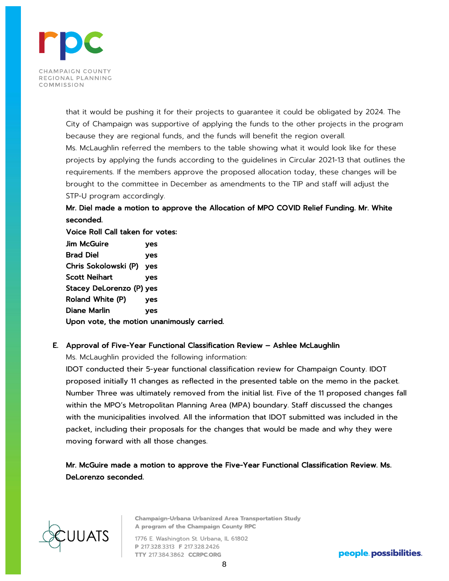

that it would be pushing it for their projects to guarantee it could be obligated by 2024. The City of Champaign was supportive of applying the funds to the other projects in the program because they are regional funds, and the funds will benefit the region overall. Ms. McLaughlin referred the members to the table showing what it would look like for these projects by applying the funds according to the guidelines in Circular 2021-13 that outlines the requirements. If the members approve the proposed allocation today, these changes will be brought to the committee in December as amendments to the TIP and staff will adjust the STP-U program accordingly.

# Mr. Diel made a motion to approve the Allocation of MPO COVID Relief Funding. Mr. White seconded.

Voice Roll Call taken for votes: Jim McGuire yes Brad Diel yes Chris Sokolowski (P) yes Scott Neihart yes Stacey DeLorenzo (P) yes Roland White (P) yes Diane Marlin yes Upon vote, the motion unanimously carried.

# E. Approval of Five-Year Functional Classification Review – Ashlee McLaughlin

Ms. McLaughlin provided the following information:

IDOT conducted their 5-year functional classification review for Champaign County. IDOT proposed initially 11 changes as reflected in the presented table on the memo in the packet. Number Three was ultimately removed from the initial list. Five of the 11 proposed changes fall within the MPO's Metropolitan Planning Area (MPA) boundary. Staff discussed the changes with the municipalities involved. All the information that IDOT submitted was included in the packet, including their proposals for the changes that would be made and why they were moving forward with all those changes.

Mr. McGuire made a motion to approve the Five-Year Functional Classification Review. Ms. DeLorenzo seconded.



**Champaign-Urbana Urbanized Area Transportation Study** A program of the Champaign County RPC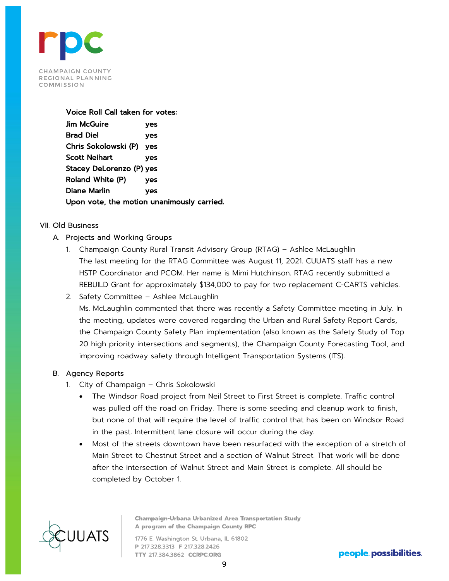

#### Voice Roll Call taken for votes:

Jim McGuire yes Brad Diel yes Chris Sokolowski (P) yes Scott Neihart yes Stacey DeLorenzo (P) yes Roland White (P) yes Diane Marlin yes Upon vote, the motion unanimously carried.

# VII. Old Business

- A. Projects and Working Groups
	- 1. Champaign County Rural Transit Advisory Group (RTAG) Ashlee McLaughlin The last meeting for the RTAG Committee was August 11, 2021. CUUATS staff has a new HSTP Coordinator and PCOM. Her name is Mimi Hutchinson. RTAG recently submitted a REBUILD Grant for approximately \$134,000 to pay for two replacement C-CARTS vehicles.
	- 2. Safety Committee Ashlee McLaughlin

Ms. McLaughlin commented that there was recently a Safety Committee meeting in July. In the meeting, updates were covered regarding the Urban and Rural Safety Report Cards, the Champaign County Safety Plan implementation (also known as the Safety Study of Top 20 high priority intersections and segments), the Champaign County Forecasting Tool, and improving roadway safety through Intelligent Transportation Systems (ITS).

# B. Agency Reports

- 1. City of Champaign Chris Sokolowski
	- The Windsor Road project from Neil Street to First Street is complete. Traffic control was pulled off the road on Friday. There is some seeding and cleanup work to finish, but none of that will require the level of traffic control that has been on Windsor Road in the past. Intermittent lane closure will occur during the day.
	- Most of the streets downtown have been resurfaced with the exception of a stretch of Main Street to Chestnut Street and a section of Walnut Street. That work will be done after the intersection of Walnut Street and Main Street is complete. All should be completed by October 1.



**Champaign-Urbana Urbanized Area Transportation Study** A program of the Champaign County RPC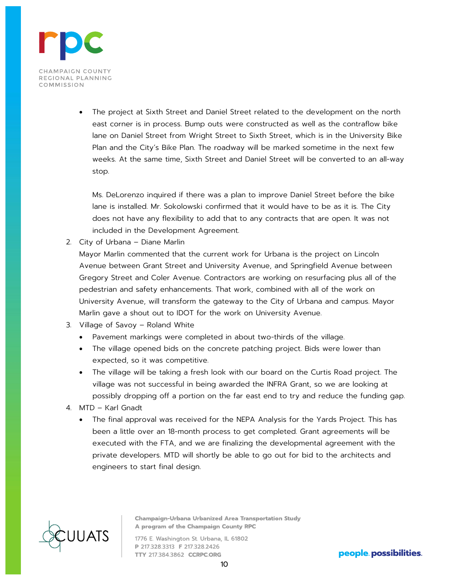

• The project at Sixth Street and Daniel Street related to the development on the north east corner is in process. Bump outs were constructed as well as the contraflow bike lane on Daniel Street from Wright Street to Sixth Street, which is in the University Bike Plan and the City's Bike Plan. The roadway will be marked sometime in the next few weeks. At the same time, Sixth Street and Daniel Street will be converted to an all-way stop.

Ms. DeLorenzo inquired if there was a plan to improve Daniel Street before the bike lane is installed. Mr. Sokolowski confirmed that it would have to be as it is. The City does not have any flexibility to add that to any contracts that are open. It was not included in the Development Agreement.

2. City of Urbana – Diane Marlin

Mayor Marlin commented that the current work for Urbana is the project on Lincoln Avenue between Grant Street and University Avenue, and Springfield Avenue between Gregory Street and Coler Avenue. Contractors are working on resurfacing plus all of the pedestrian and safety enhancements. That work, combined with all of the work on University Avenue, will transform the gateway to the City of Urbana and campus. Mayor Marlin gave a shout out to IDOT for the work on University Avenue.

- 3. Village of Savoy Roland White
	- Pavement markings were completed in about two-thirds of the village.
	- The village opened bids on the concrete patching project. Bids were lower than expected, so it was competitive.
	- The village will be taking a fresh look with our board on the Curtis Road project. The village was not successful in being awarded the INFRA Grant, so we are looking at possibly dropping off a portion on the far east end to try and reduce the funding gap.
- 4. MTD Karl Gnadt
	- The final approval was received for the NEPA Analysis for the Yards Project. This has been a little over an 18-month process to get completed. Grant agreements will be executed with the FTA, and we are finalizing the developmental agreement with the private developers. MTD will shortly be able to go out for bid to the architects and engineers to start final design.



**Champaign-Urbana Urbanized Area Transportation Study** A program of the Champaign County RPC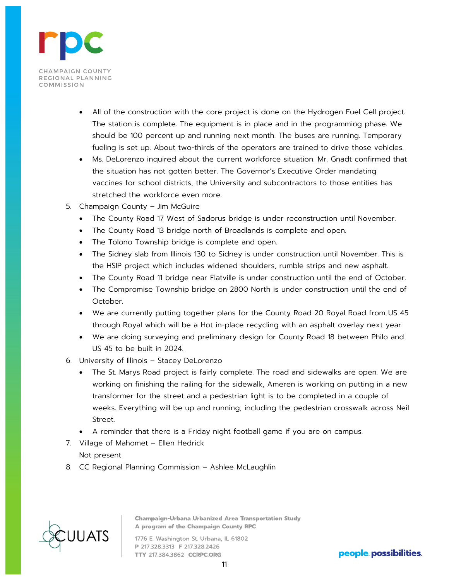

- All of the construction with the core project is done on the Hydrogen Fuel Cell project. The station is complete. The equipment is in place and in the programming phase. We should be 100 percent up and running next month. The buses are running. Temporary fueling is set up. About two-thirds of the operators are trained to drive those vehicles.
- Ms. DeLorenzo inquired about the current workforce situation. Mr. Gnadt confirmed that the situation has not gotten better. The Governor's Executive Order mandating vaccines for school districts, the University and subcontractors to those entities has stretched the workforce even more.
- 5. Champaign County Jim McGuire
	- The County Road 17 West of Sadorus bridge is under reconstruction until November.
	- The County Road 13 bridge north of Broadlands is complete and open.
	- The Tolono Township bridge is complete and open.
	- The Sidney slab from Illinois 130 to Sidney is under construction until November. This is the HSIP project which includes widened shoulders, rumble strips and new asphalt.
	- The County Road 11 bridge near Flatville is under construction until the end of October.
	- The Compromise Township bridge on 2800 North is under construction until the end of October.
	- We are currently putting together plans for the County Road 20 Royal Road from US 45 through Royal which will be a Hot in-place recycling with an asphalt overlay next year.
	- We are doing surveying and preliminary design for County Road 18 between Philo and US 45 to be built in 2024.
- 6. University of Illinois Stacey DeLorenzo
	- The St. Marys Road project is fairly complete. The road and sidewalks are open. We are working on finishing the railing for the sidewalk, Ameren is working on putting in a new transformer for the street and a pedestrian light is to be completed in a couple of weeks. Everything will be up and running, including the pedestrian crosswalk across Neil Street.
	- A reminder that there is a Friday night football game if you are on campus.
- 7. Village of Mahomet Ellen Hedrick Not present
- 8. CC Regional Planning Commission Ashlee McLaughlin



**Champaign-Urbana Urbanized Area Transportation Study** A program of the Champaign County RPC